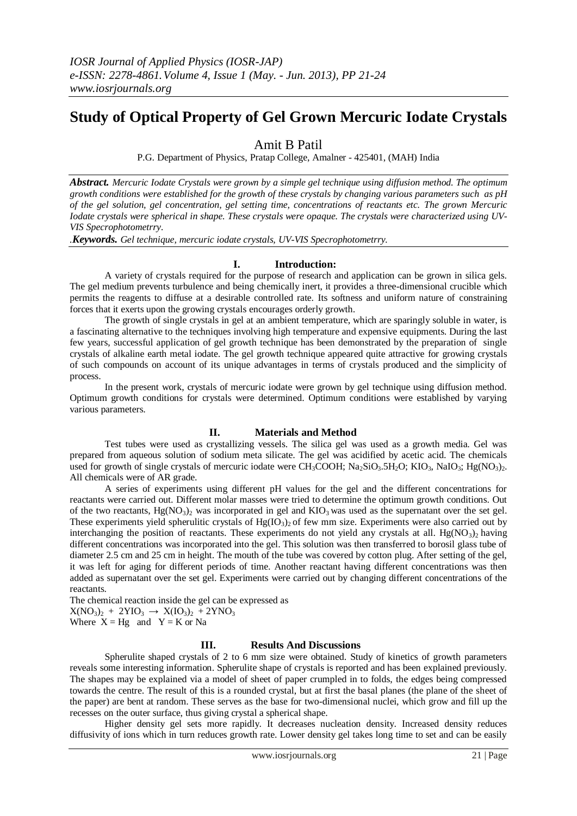# **Study of Optical Property of Gel Grown Mercuric Iodate Crystals**

## Amit B Patil

P.G. Department of Physics, Pratap College, Amalner - 425401, (MAH) India

*Abstract. Mercuric Iodate Crystals were grown by a simple gel technique using diffusion method. The optimum growth conditions were established for the growth of these crystals by changing various parameters such as pH of the gel solution, gel concentration, gel setting time, concentrations of reactants etc. The grown Mercuric Iodate crystals were spherical in shape. These crystals were opaque. The crystals were characterized using UV-VIS Specrophotometrry.*

*.Keywords. Gel technique, mercuric iodate crystals, UV-VIS Specrophotometrry.*

## **I. Introduction:**

A variety of crystals required for the purpose of research and application can be grown in silica gels. The gel medium prevents turbulence and being chemically inert, it provides a three-dimensional crucible which permits the reagents to diffuse at a desirable controlled rate. Its softness and uniform nature of constraining forces that it exerts upon the growing crystals encourages orderly growth.

 The growth of single crystals in gel at an ambient temperature, which are sparingly soluble in water, is a fascinating alternative to the techniques involving high temperature and expensive equipments. During the last few years, successful application of gel growth technique has been demonstrated by the preparation of single crystals of alkaline earth metal iodate. The gel growth technique appeared quite attractive for growing crystals of such compounds on account of its unique advantages in terms of crystals produced and the simplicity of process.

In the present work, crystals of mercuric iodate were grown by gel technique using diffusion method. Optimum growth conditions for crystals were determined. Optimum conditions were established by varying various parameters.

## **II. Materials and Method**

Test tubes were used as crystallizing vessels. The silica gel was used as a growth media. Gel was prepared from aqueous solution of sodium meta silicate. The gel was acidified by acetic acid. The chemicals used for growth of single crystals of mercuric iodate were CH<sub>3</sub>COOH; Na<sub>2</sub>SiO<sub>3</sub>.5H<sub>2</sub>O; KIO<sub>3</sub>, NaIO<sub>3</sub>; Hg(NO<sub>3</sub>)<sub>2</sub>. All chemicals were of AR grade.

A series of experiments using different pH values for the gel and the different concentrations for reactants were carried out. Different molar masses were tried to determine the optimum growth conditions. Out of the two reactants,  $Hg(NO_3)_2$  was incorporated in gel and  $KIO_3$  was used as the supernatant over the set gel. These experiments yield spherulitic crystals of Hg(IO<sub>3</sub>)<sub>2</sub> of few mm size. Experiments were also carried out by interchanging the position of reactants. These experiments do not yield any crystals at all. Hg(NO3)<sub>2</sub> having different concentrations was incorporated into the gel. This solution was then transferred to borosil glass tube of diameter 2.5 cm and 25 cm in height. The mouth of the tube was covered by cotton plug. After setting of the gel, it was left for aging for different periods of time. Another reactant having different concentrations was then added as supernatant over the set gel. Experiments were carried out by changing different concentrations of the reactants.

The chemical reaction inside the gel can be expressed as

 $X(NO<sub>3</sub>)<sub>2</sub> + 2YIO<sub>3</sub> \rightarrow X(IO<sub>3</sub>)<sub>2</sub> + 2YNO<sub>3</sub>$ 

Where  $X = Hg$  and  $Y = K$  or Na

#### **III. Results And Discussions**

Spherulite shaped crystals of 2 to 6 mm size were obtained. Study of kinetics of growth parameters reveals some interesting information. Spherulite shape of crystals is reported and has been explained previously. The shapes may be explained via a model of sheet of paper crumpled in to folds, the edges being compressed towards the centre. The result of this is a rounded crystal, but at first the basal planes (the plane of the sheet of the paper) are bent at random. These serves as the base for two-dimensional nuclei, which grow and fill up the recesses on the outer surface, thus giving crystal a spherical shape.

Higher density gel sets more rapidly. It decreases nucleation density. Increased density reduces diffusivity of ions which in turn reduces growth rate. Lower density gel takes long time to set and can be easily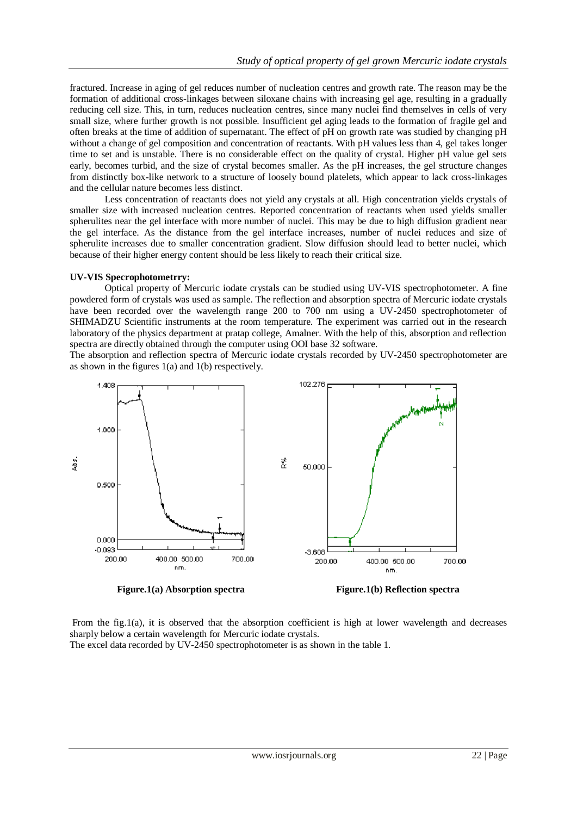fractured. Increase in aging of gel reduces number of nucleation centres and growth rate. The reason may be the formation of additional cross-linkages between siloxane chains with increasing gel age, resulting in a gradually reducing cell size. This, in turn, reduces nucleation centres, since many nuclei find themselves in cells of very small size, where further growth is not possible. Insufficient gel aging leads to the formation of fragile gel and often breaks at the time of addition of supernatant. The effect of pH on growth rate was studied by changing pH without a change of gel composition and concentration of reactants. With pH values less than 4, gel takes longer time to set and is unstable. There is no considerable effect on the quality of crystal. Higher pH value gel sets early, becomes turbid, and the size of crystal becomes smaller. As the pH increases, the gel structure changes from distinctly box-like network to a structure of loosely bound platelets, which appear to lack cross-linkages and the cellular nature becomes less distinct.

Less concentration of reactants does not yield any crystals at all. High concentration yields crystals of smaller size with increased nucleation centres. Reported concentration of reactants when used yields smaller spherulites near the gel interface with more number of nuclei. This may be due to high diffusion gradient near the gel interface. As the distance from the gel interface increases, number of nuclei reduces and size of spherulite increases due to smaller concentration gradient. Slow diffusion should lead to better nuclei, which because of their higher energy content should be less likely to reach their critical size.

#### **UV-VIS Specrophotometrry:**

Optical property of Mercuric iodate crystals can be studied using UV-VIS spectrophotometer. A fine powdered form of crystals was used as sample. The reflection and absorption spectra of Mercuric iodate crystals have been recorded over the wavelength range 200 to 700 nm using a UV-2450 spectrophotometer of SHIMADZU Scientific instruments at the room temperature. The experiment was carried out in the research laboratory of the physics department at pratap college, Amalner. With the help of this, absorption and reflection spectra are directly obtained through the computer using OOI base 32 software.

The absorption and reflection spectra of Mercuric iodate crystals recorded by UV-2450 spectrophotometer are as shown in the figures 1(a) and 1(b) respectively.



**Figure.1(a) Absorption spectra** Figure.1(b) Reflection spectra

From the fig.1(a), it is observed that the absorption coefficient is high at lower wavelength and decreases sharply below a certain wavelength for Mercuric iodate crystals.

The excel data recorded by UV-2450 spectrophotometer is as shown in the table 1.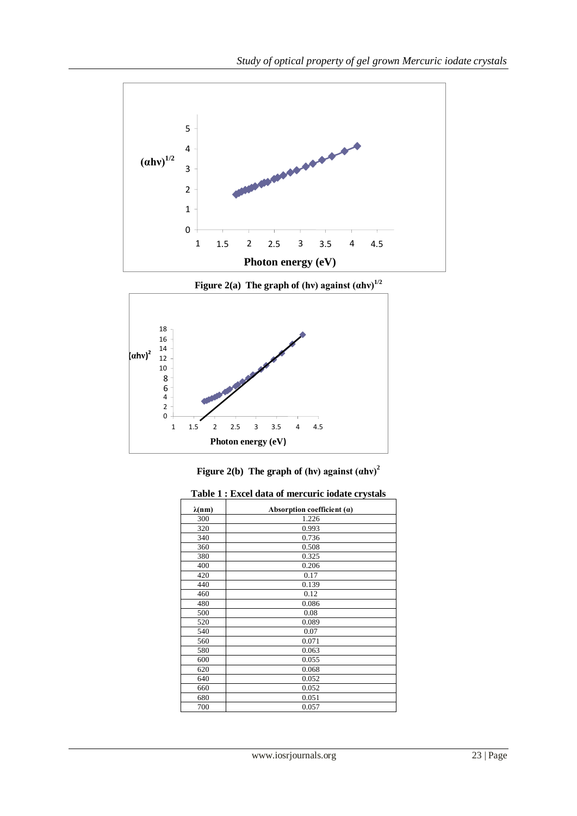

**Figure 2(a)** The graph of (hv) against  $(ahv)^{1/2}$ 





|  | Table 1 : Excel data of mercuric iodate crystals |
|--|--------------------------------------------------|
|  |                                                  |

| <i>Excer anni or mercuric rounce er journs</i> |                              |  |
|------------------------------------------------|------------------------------|--|
| $\lambda(nm)$                                  | Absorption coefficient $(a)$ |  |
| 300                                            | 1.226                        |  |
| 320                                            | 0.993                        |  |
| 340                                            | 0.736                        |  |
| 360                                            | 0.508                        |  |
| 380                                            | 0.325                        |  |
| 400                                            | 0.206                        |  |
| 420                                            | 0.17                         |  |
| 440                                            | 0.139                        |  |
| 460                                            | 0.12                         |  |
| 480                                            | 0.086                        |  |
| 500                                            | 0.08                         |  |
| 520                                            | 0.089                        |  |
| 540                                            | 0.07                         |  |
| 560                                            | 0.071                        |  |
| 580                                            | 0.063                        |  |
| 600                                            | 0.055                        |  |
| 620                                            | 0.068                        |  |
| 640                                            | 0.052                        |  |
| 660                                            | 0.052                        |  |
| 680                                            | 0.051                        |  |
| 700                                            | 0.057                        |  |